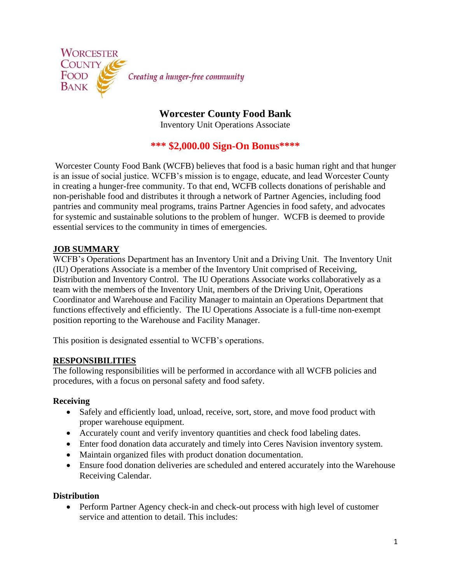

**Worcester County Food Bank**  Inventory Unit Operations Associate

# **\*\*\* \$2,000.00 Sign-On Bonus\*\*\*\***

Worcester County Food Bank (WCFB) believes that food is a basic human right and that hunger is an issue of social justice. WCFB's mission is to engage, educate, and lead Worcester County in creating a hunger-free community. To that end, WCFB collects donations of perishable and non-perishable food and distributes it through a network of Partner Agencies, including food pantries and community meal programs, trains Partner Agencies in food safety, and advocates for systemic and sustainable solutions to the problem of hunger. WCFB is deemed to provide essential services to the community in times of emergencies.

# **JOB SUMMARY**

WCFB's Operations Department has an Inventory Unit and a Driving Unit. The Inventory Unit (IU) Operations Associate is a member of the Inventory Unit comprised of Receiving, Distribution and Inventory Control. The IU Operations Associate works collaboratively as a team with the members of the Inventory Unit, members of the Driving Unit, Operations Coordinator and Warehouse and Facility Manager to maintain an Operations Department that functions effectively and efficiently. The IU Operations Associate is a full-time non-exempt position reporting to the Warehouse and Facility Manager.

This position is designated essential to WCFB's operations.

### **RESPONSIBILITIES**

The following responsibilities will be performed in accordance with all WCFB policies and procedures, with a focus on personal safety and food safety.

#### **Receiving**

- Safely and efficiently load, unload, receive, sort, store, and move food product with proper warehouse equipment.
- Accurately count and verify inventory quantities and check food labeling dates.
- Enter food donation data accurately and timely into Ceres Navision inventory system.
- Maintain organized files with product donation documentation.
- Ensure food donation deliveries are scheduled and entered accurately into the Warehouse Receiving Calendar.

### **Distribution**

• Perform Partner Agency check-in and check-out process with high level of customer service and attention to detail. This includes: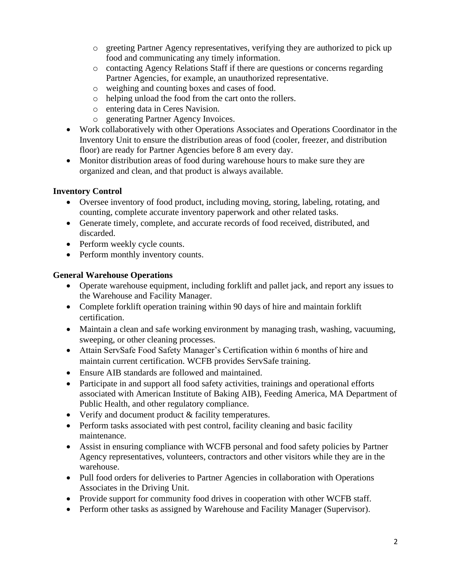- o greeting Partner Agency representatives, verifying they are authorized to pick up food and communicating any timely information.
- o contacting Agency Relations Staff if there are questions or concerns regarding Partner Agencies, for example, an unauthorized representative.
- o weighing and counting boxes and cases of food.
- o helping unload the food from the cart onto the rollers.
- o entering data in Ceres Navision.
- o generating Partner Agency Invoices.
- Work collaboratively with other Operations Associates and Operations Coordinator in the Inventory Unit to ensure the distribution areas of food (cooler, freezer, and distribution floor) are ready for Partner Agencies before 8 am every day.
- Monitor distribution areas of food during warehouse hours to make sure they are organized and clean, and that product is always available.

# **Inventory Control**

- Oversee inventory of food product, including moving, storing, labeling, rotating, and counting, complete accurate inventory paperwork and other related tasks.
- Generate timely, complete, and accurate records of food received, distributed, and discarded.
- Perform weekly cycle counts.
- Perform monthly inventory counts.

# **General Warehouse Operations**

- Operate warehouse equipment, including forklift and pallet jack, and report any issues to the Warehouse and Facility Manager.
- Complete forklift operation training within 90 days of hire and maintain forklift certification.
- Maintain a clean and safe working environment by managing trash, washing, vacuuming, sweeping, or other cleaning processes.
- Attain ServSafe Food Safety Manager's Certification within 6 months of hire and maintain current certification. WCFB provides ServSafe training.
- Ensure AIB standards are followed and maintained.
- Participate in and support all food safety activities, trainings and operational efforts associated with American Institute of Baking AIB), Feeding America, MA Department of Public Health, and other regulatory compliance.
- Verify and document product & facility temperatures.
- Perform tasks associated with pest control, facility cleaning and basic facility maintenance.
- Assist in ensuring compliance with WCFB personal and food safety policies by Partner Agency representatives, volunteers, contractors and other visitors while they are in the warehouse.
- Pull food orders for deliveries to Partner Agencies in collaboration with Operations Associates in the Driving Unit.
- Provide support for community food drives in cooperation with other WCFB staff.
- Perform other tasks as assigned by Warehouse and Facility Manager (Supervisor).